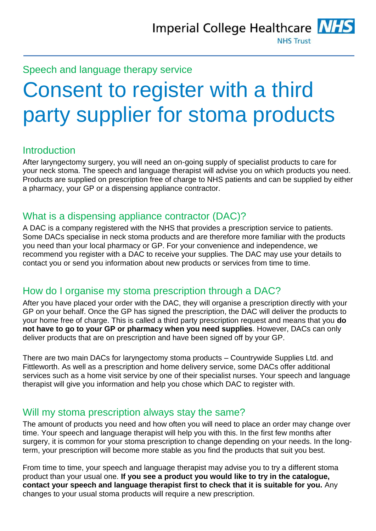

Speech and language therapy service

# Consent to register with a third party supplier for stoma products

#### Introduction

After laryngectomy surgery, you will need an on-going supply of specialist products to care for your neck stoma. The speech and language therapist will advise you on which products you need. Products are supplied on prescription free of charge to NHS patients and can be supplied by either a pharmacy, your GP or a dispensing appliance contractor.

#### What is a dispensing appliance contractor (DAC)?

A DAC is a company registered with the NHS that provides a prescription service to patients. Some DACs specialise in neck stoma products and are therefore more familiar with the products you need than your local pharmacy or GP. For your convenience and independence, we recommend you register with a DAC to receive your supplies. The DAC may use your details to contact you or send you information about new products or services from time to time.

#### How do I organise my stoma prescription through a DAC?

After you have placed your order with the DAC, they will organise a prescription directly with your GP on your behalf. Once the GP has signed the prescription, the DAC will deliver the products to your home free of charge. This is called a third party prescription request and means that you **do not have to go to your GP or pharmacy when you need supplies**. However, DACs can only deliver products that are on prescription and have been signed off by your GP.

There are two main DACs for laryngectomy stoma products – Countrywide Supplies Ltd. and Fittleworth. As well as a prescription and home delivery service, some DACs offer additional services such as a home visit service by one of their specialist nurses. Your speech and language therapist will give you information and help you chose which DAC to register with.

#### Will my stoma prescription always stay the same?

The amount of products you need and how often you will need to place an order may change over time. Your speech and language therapist will help you with this. In the first few months after surgery, it is common for your stoma prescription to change depending on your needs. In the longterm, your prescription will become more stable as you find the products that suit you best.

From time to time, your speech and language therapist may advise you to try a different stoma product than your usual one. **If you see a product you would like to try in the catalogue, contact your speech and language therapist first to check that it is suitable for you.** Any changes to your usual stoma products will require a new prescription.